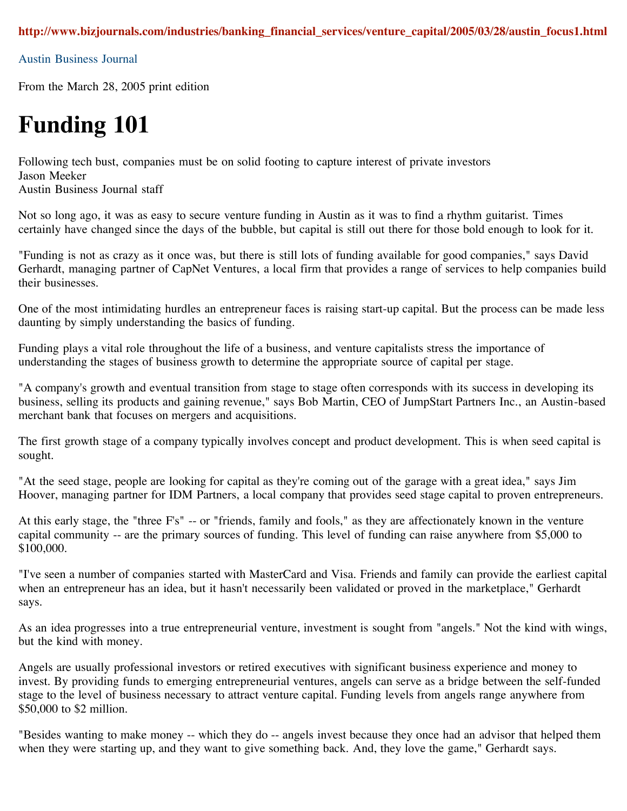Austin Business Journal

From the March 28, 2005 print edition

## **Funding 101**

Following tech bust, companies must be on solid footing to capture interest of private investors Jason Meeker

Austin Business Journal staff

Not so long ago, it was as easy to secure venture funding in Austin as it was to find a rhythm guitarist. Times certainly have changed since the days of the bubble, but capital is still out there for those bold enough to look for it.

"Funding is not as crazy as it once was, but there is still lots of funding available for good companies," says David Gerhardt, managing partner of CapNet Ventures, a local firm that provides a range of services to help companies build their businesses.

One of the most intimidating hurdles an entrepreneur faces is raising start-up capital. But the process can be made less daunting by simply understanding the basics of funding.

Funding plays a vital role throughout the life of a business, and venture capitalists stress the importance of understanding the stages of business growth to determine the appropriate source of capital per stage.

"A company's growth and eventual transition from stage to stage often corresponds with its success in developing its business, selling its products and gaining revenue," says Bob Martin, CEO of JumpStart Partners Inc., an Austin-based merchant bank that focuses on mergers and acquisitions.

The first growth stage of a company typically involves concept and product development. This is when seed capital is sought.

"At the seed stage, people are looking for capital as they're coming out of the garage with a great idea," says Jim Hoover, managing partner for IDM Partners, a local company that provides seed stage capital to proven entrepreneurs.

At this early stage, the "three F's" -- or "friends, family and fools," as they are affectionately known in the venture capital community -- are the primary sources of funding. This level of funding can raise anywhere from \$5,000 to \$100,000.

"I've seen a number of companies started with MasterCard and Visa. Friends and family can provide the earliest capital when an entrepreneur has an idea, but it hasn't necessarily been validated or proved in the marketplace," Gerhardt says.

As an idea progresses into a true entrepreneurial venture, investment is sought from "angels." Not the kind with wings, but the kind with money.

Angels are usually professional investors or retired executives with significant business experience and money to invest. By providing funds to emerging entrepreneurial ventures, angels can serve as a bridge between the self-funded stage to the level of business necessary to attract venture capital. Funding levels from angels range anywhere from \$50,000 to \$2 million.

"Besides wanting to make money -- which they do -- angels invest because they once had an advisor that helped them when they were starting up, and they want to give something back. And, they love the game," Gerhardt says.